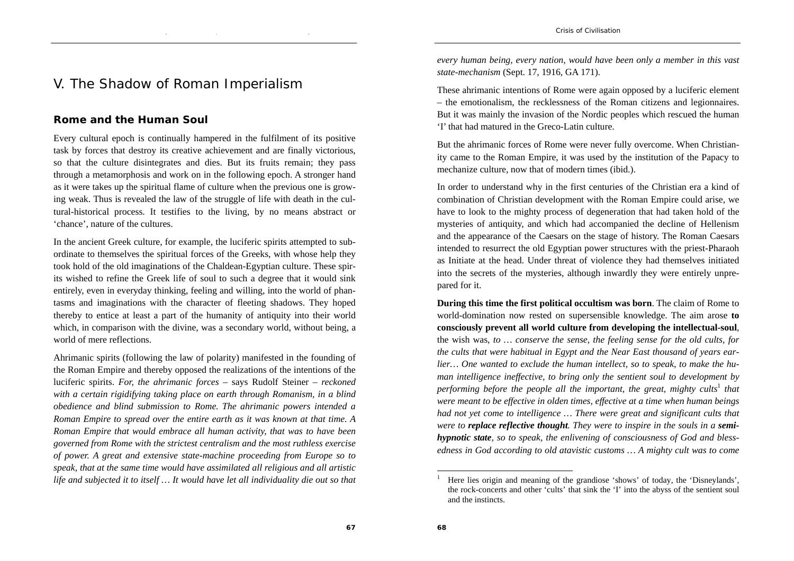## V. The Shadow of Roman Imperialism

## **Rome and the Human Soul**

Every cultural epoch is continually hampered in the fulfilment of its positive task by forces that destroy its creative achievement and are finally victorious, so that the culture disintegrates and dies. But its fruits remain; they pass through a metamorphosis and work on in the following epoch. A stronger hand as it were takes up the spiritual flame of culture when the previous one is growing weak. Thus is revealed the law of the struggle of life with death in the cultural-historical process. It testifies to the living, by no means abstract or 'chance', nature of the cultures.

In the ancient Greek culture, for example, the luciferic spirits attempted to subordinate to themselves the spiritual forces of the Greeks, with whose help they took hold of the old imaginations of the Chaldean-Egyptian culture. These spirits wished to refine the Greek life of soul to such a degree that it would sink entirely, even in everyday thinking, feeling and willing, into the world of phantasms and imaginations with the character of fleeting shadows. They hoped thereby to entice at least a part of the humanity of antiquity into their world which, in comparison with the divine, was a secondary world, without being, a world of mere reflections.

Ahrimanic spirits (following the law of polarity) manifested in the founding of the Roman Empire and thereby opposed the realizations of the intentions of the luciferic spirits. *For, the ahrimanic forces* – says Rudolf Steiner – *reckoned with a certain rigidifying taking place on earth through Romanism, in a blind obedience and blind submission to Rome. The ahrimanic powers intended a Roman Empire to spread over the entire earth as it was known at that time. A Roman Empire that would embrace all human activity, that was to have been governed from Rome with the strictest centralism and the most ruthless exercise of power. A great and extensive state-machine proceeding from Europe so to speak, that at the same time would have assimilated all religious and all artistic life and subjected it to itself … It would have let all individuality die out so that* 

*every human being, every nation, would have been only a member in this vast state-mechanism* (Sept. 17, 1916, GA 171).

These ahrimanic intentions of Rome were again opposed by a luciferic element – the emotionalism, the recklessness of the Roman citizens and legionnaires. But it was mainly the invasion of the Nordic peoples which rescued the human 'I' that had matured in the Greco-Latin culture.

But the ahrimanic forces of Rome were never fully overcome. When Christianity came to the Roman Empire, it was used by the institution of the Papacy to mechanize culture, now that of modern times (ibid.).

In order to understand why in the first centuries of the Christian era a kind of combination of Christian development with the Roman Empire could arise, we have to look to the mighty process of degeneration that had taken hold of the mysteries of antiquity, and which had accompanied the decline of Hellenism and the appearance of the Caesars on the stage of history. The Roman Caesars intended to resurrect the old Egyptian power structures with the priest-Pharaoh as Initiate at the head. Under threat of violence they had themselves initiated into the secrets of the mysteries, although inwardly they were entirely unprepared for it.

**During this time the first political occultism was born**. The claim of Rome to world-domination now rested on supersensible knowledge. The aim arose **to consciously prevent all world culture from developing the intellectual-soul**, the wish was, *to … conserve the sense, the feeling sense for the old cults, for the cults that were habitual in Egypt and the Near East thousand of years earlier… One wanted to exclude the human intellect, so to speak, to make the human intelligence ineffective, to bring only the sentient soul to development by performing before the people all the important, the great, mighty cults*<sup>1</sup> that *were meant to be effective in olden times, effective at a time when human beings had not yet come to intelligence ... There were great and significant cults that were to replace reflective thought. They were to inspire in the souls in a semihypnotic state, so to speak, the enlivening of consciousness of God and blessedness in God according to old atavistic customs … A mighty cult was to come* 

<sup>1</sup> Here lies origin and meaning of the grandiose 'shows' of today, the 'Disneylands', the rock-concerts and other 'cults' that sink the 'I' into the abyss of the sentient soul and the instincts.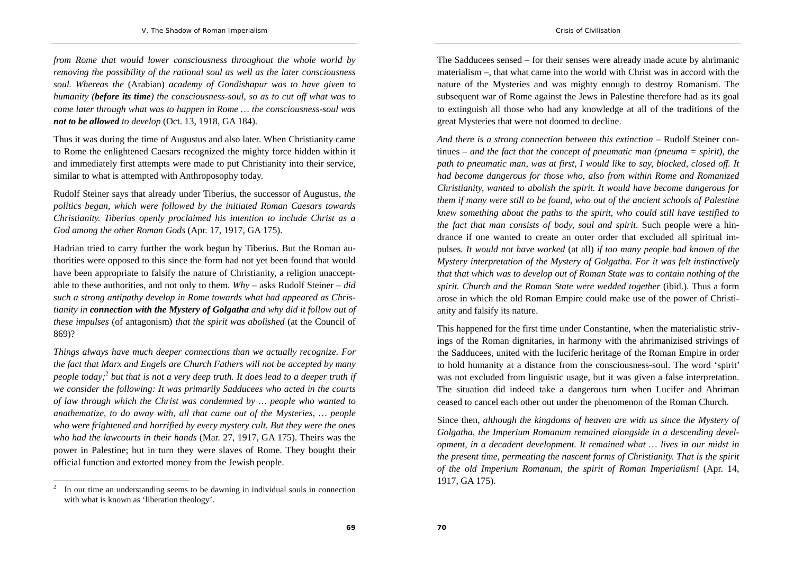*from Rome that would lower consciousness throughout the whole world by removing the possibility of the rational soul as well as the later consciousness soul. Whereas the* (Arabian) *academy of Gondishapur was to have given to humanity (before its time) the consciousness-soul, so as to cut off what was to come later through what was to happen in Rome … the consciousness-soul was not to be allowed to develop* (Oct. 13, 1918, GA 184).

Thus it was during the time of Augustus and also later. When Christianity came to Rome the enlightened Caesars recognized the mighty force hidden within it and immediately first attempts were made to put Christianity into their service, similar to what is attempted with Anthroposophy today.

Rudolf Steiner says that already under Tiberius, the successor of Augustus, *the politics began, which were followed by the initiated Roman Caesars towards Christianity. Tiberius openly proclaimed his intention to include Christ as a God among the other Roman Gods* (Apr. 17, 1917, GA 175).

Hadrian tried to carry further the work begun by Tiberius. But the Roman authorities were opposed to this since the form had not yet been found that would have been appropriate to falsify the nature of Christianity, a religion unacceptable to these authorities, and not only to them. *Why* – asks Rudolf Steiner – *did such a strong antipathy develop in Rome towards what had appeared as Christianity in connection with the Mystery of Golgatha and why did it follow out of these impulses* (of antagonism) *that the spirit was abolished* (at the Council of 869)?

*Things always have much deeper connections than we actually recognize. For the fact that Marx and Engels are Church Fathers will not be accepted by many people today;*<sup>2</sup> *but that is not a very deep truth. It does lead to a deeper truth if we consider the following: It was primarily Sadducees who acted in the courts of law through which the Christ was condemned by … people who wanted to anathematize, to do away with, all that came out of the Mysteries, … people who were frightened and horrified by every mystery cult. But they were the ones who had the lawcourts in their hands* (Mar. 27, 1917, GA 175). Theirs was the power in Palestine; but in turn they were slaves of Rome. They bought their official function and extorted money from the Jewish people.

The Sadducees sensed – for their senses were already made acute by ahrimanic materialism –, that what came into the world with Christ was in accord with the nature of the Mysteries and was mighty enough to destroy Romanism. The subsequent war of Rome against the Jews in Palestine therefore had as its goal to extinguish all those who had any knowledge at all of the traditions of the great Mysteries that were not doomed to decline.

*And there is a strong connection between this extinction* – Rudolf Steiner continues – *and the fact that the concept of pneumatic man (pneuma = spirit), the path to pneumatic man, was at first, I would like to say, blocked, closed off. It had become dangerous for those who, also from within Rome and Romanized Christianity, wanted to abolish the spirit. It would have become dangerous for them if many were still to be found, who out of the ancient schools of Palestine knew something about the paths to the spirit, who could still have testified to the fact that man consists of body, soul and spirit*. Such people were a hindrance if one wanted to create an outer order that excluded all spiritual impulses. *It would not have worked* (at all) *if too many people had known of the Mystery interpretation of the Mystery of Golgatha. For it was felt instinctively that that which was to develop out of Roman State was to contain nothing of the spirit. Church and the Roman State were wedded together* (ibid.). Thus a form arose in which the old Roman Empire could make use of the power of Christianity and falsify its nature.

This happened for the first time under Constantine, when the materialistic strivings of the Roman dignitaries, in harmony with the ahrimanizised strivings of the Sadducees, united with the luciferic heritage of the Roman Empire in order to hold humanity at a distance from the consciousness-soul. The word 'spirit' was not excluded from linguistic usage, but it was given a false interpretation. The situation did indeed take a dangerous turn when Lucifer and Ahriman ceased to cancel each other out under the phenomenon of the Roman Church.

Since then, *although the kingdoms of heaven are with us since the Mystery of Golgatha, the Imperium Romanum remained alongside in a descending development, in a decadent development. It remained what … lives in our midst in the present time, permeating the nascent forms of Christianity. That is the spirit of the old Imperium Romanum, the spirit of Roman Imperialism!* (Apr. 14, 1917, GA 175).

<sup>2</sup> In our time an understanding seems to be dawning in individual souls in connection with what is known as 'liberation theology'.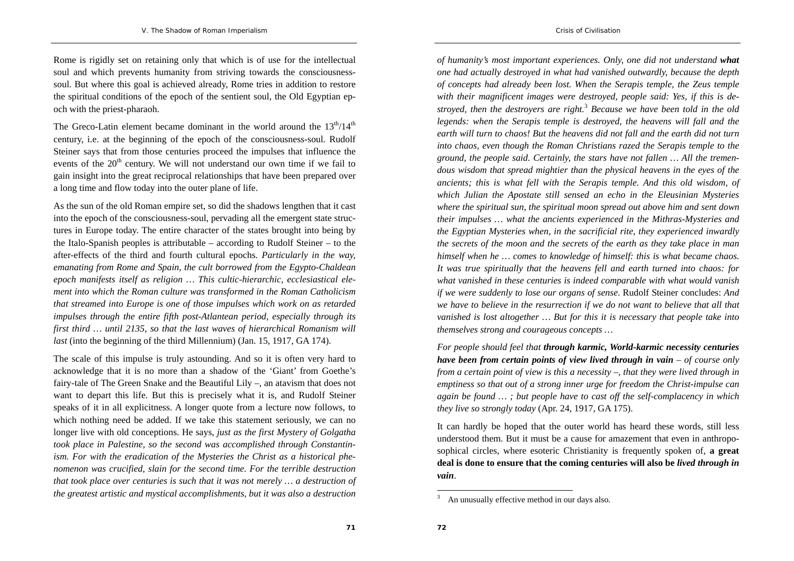Rome is rigidly set on retaining only that which is of use for the intellectual soul and which prevents humanity from striving towards the consciousnesssoul. But where this goal is achieved already, Rome tries in addition to restore the spiritual conditions of the epoch of the sentient soul, the Old Egyptian ep-

och with the priest-pharaoh.

The Greco-Latin element became dominant in the world around the  $13<sup>th</sup>/14<sup>th</sup>$ century, i.e. at the beginning of the epoch of the consciousness-soul. Rudolf Steiner says that from those centuries proceed the impulses that influence the events of the  $20<sup>th</sup>$  century. We will not understand our own time if we fail to gain insight into the great reciprocal relationships that have been prepared over a long time and flow today into the outer plane of life.

As the sun of the old Roman empire set, so did the shadows lengthen that it cast into the epoch of the consciousness-soul, pervading all the emergent state structures in Europe today. The entire character of the states brought into being by the Italo-Spanish peoples is attributable – according to Rudolf Steiner – to the after-effects of the third and fourth cultural epochs. *Particularly in the way, emanating from Rome and Spain, the cult borrowed from the Egypto-Chaldean epoch manifests itself as religion … This cultic-hierarchic, ecclesiastical element into which the Roman culture was transformed in the Roman Catholicism that streamed into Europe is one of those impulses which work on as retarded impulses through the entire fifth post-Atlantean period, especially through its first third … until 2135, so that the last waves of hierarchical Romanism will last* (into the beginning of the third Millennium) (Jan. 15, 1917, GA 174).

The scale of this impulse is truly astounding. And so it is often very hard to acknowledge that it is no more than a shadow of the 'Giant' from Goethe's fairy-tale of The Green Snake and the Beautiful Lily –, an atavism that does not want to depart this life. But this is precisely what it is, and Rudolf Steiner speaks of it in all explicitness. A longer quote from a lecture now follows, to which nothing need be added. If we take this statement seriously, we can no longer live with old conceptions. He says, *just as the first Mystery of Golgatha took place in Palestine, so the second was accomplished through Constantinism. For with the eradication of the Mysteries the Christ as a historical phenomenon was crucified, slain for the second time. For the terrible destruction that took place over centuries is such that it was not merely … a destruction of the greatest artistic and mystical accomplishments, but it was also a destruction* 

*of humanity's most important experiences. Only, one did not understand what one had actually destroyed in what had vanished outwardly, because the depth of concepts had already been lost. When the Serapis temple, the Zeus temple with their magnificent images were destroyed, people said: Yes, if this is destroyed, then the destroyers are right.*<sup>3</sup> *Because we have been told in the old legends: when the Serapis temple is destroyed, the heavens will fall and the earth will turn to chaos! But the heavens did not fall and the earth did not turn into chaos, even though the Roman Christians razed the Serapis temple to the ground, the people said. Certainly, the stars have not fallen … All the tremendous wisdom that spread mightier than the physical heavens in the eyes of the ancients; this is what fell with the Serapis temple. And this old wisdom, of which Julian the Apostate still sensed an echo in the Eleusinian Mysteries where the spiritual sun, the spiritual moon spread out above him and sent down their impulses … what the ancients experienced in the Mithras-Mysteries and the Egyptian Mysteries when, in the sacrificial rite, they experienced inwardly the secrets of the moon and the secrets of the earth as they take place in man himself when he … comes to knowledge of himself: this is what became chaos. It was true spiritually that the heavens fell and earth turned into chaos: for what vanished in these centuries is indeed comparable with what would vanish if we were suddenly to lose our organs of sense*. Rudolf Steiner concludes: *And we have to believe in the resurrection if we do not want to believe that all that vanished is lost altogether … But for this it is necessary that people take into themselves strong and courageous concepts …* 

*Crisis of Civilisation* 

*For people should feel that through karmic, World-karmic necessity centuries have been from certain points of view lived through in vain – of course only from a certain point of view is this a necessity –, that they were lived through in emptiness so that out of a strong inner urge for freedom the Christ-impulse can again be found … ; but people have to cast off the self-complacency in which they live so strongly today* (Apr. 24, 1917, GA 175).

It can hardly be hoped that the outer world has heard these words, still less understood them. But it must be a cause for amazement that even in anthroposophical circles, where esoteric Christianity is frequently spoken of, **a great deal is done to ensure that the coming centuries will also be** *lived through in vain*.

An unusually effective method in our days also.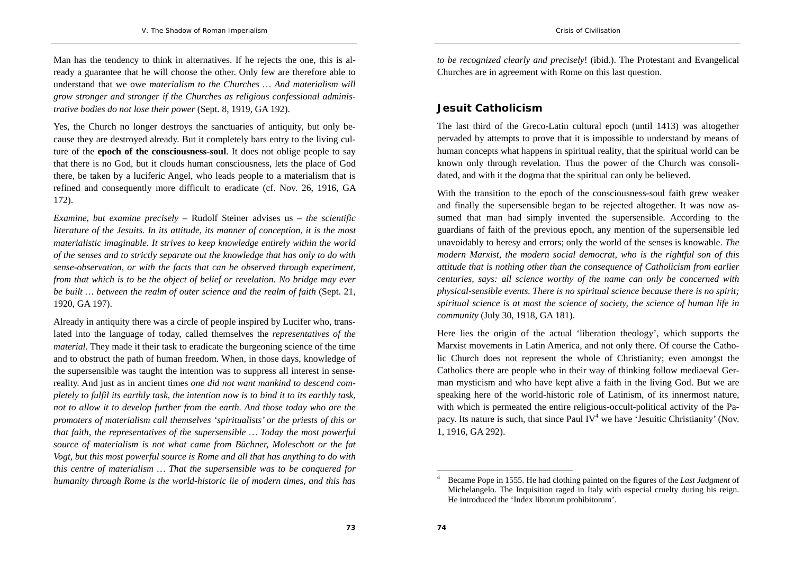Man has the tendency to think in alternatives. If he rejects the one, this is already a guarantee that he will choose the other. Only few are therefore able to understand that we owe *materialism to the Churches … And materialism will grow stronger and stronger if the Churches as religious confessional administrative bodies do not lose their power* (Sept. 8, 1919, GA 192).

Yes, the Church no longer destroys the sanctuaries of antiquity, but only because they are destroyed already. But it completely bars entry to the living culture of the **epoch of the consciousness-soul**. It does not oblige people to say that there is no God, but it clouds human consciousness, lets the place of God there, be taken by a luciferic Angel, who leads people to a materialism that is refined and consequently more difficult to eradicate (cf. Nov. 26, 1916, GA 172).

*Examine, but examine precisely* – Rudolf Steiner advises us – *the scientific literature of the Jesuits. In its attitude, its manner of conception, it is the most materialistic imaginable. It strives to keep knowledge entirely within the world of the senses and to strictly separate out the knowledge that has only to do with sense-observation, or with the facts that can be observed through experiment, from that which is to be the object of belief or revelation. No bridge may ever be built … between the realm of outer science and the realm of faith* (Sept. 21, 1920, GA 197).

Already in antiquity there was a circle of people inspired by Lucifer who, translated into the language of today, called themselves the *representatives of the material*. They made it their task to eradicate the burgeoning science of the time and to obstruct the path of human freedom. When, in those days, knowledge of the supersensible was taught the intention was to suppress all interest in sensereality. And just as in ancient times *one did not want mankind to descend completely to fulfil its earthly task, the intention now is to bind it to its earthly task, not to allow it to develop further from the earth. And those today who are the promoters of materialism call themselves 'spiritualists' or the priests of this or that faith, the representatives of the supersensible … Today the most powerful source of materialism is not what came from Büchner, Moleschott or the fat Vogt, but this most powerful source is Rome and all that has anything to do with this centre of materialism … That the supersensible was to be conquered for humanity through Rome is the world-historic lie of modern times, and this has*  *to be recognized clearly and precisely*! (ibid.). The Protestant and Evangelical Churches are in agreement with Rome on this last question.

## **Jesuit Catholicism**

The last third of the Greco-Latin cultural epoch (until 1413) was altogether pervaded by attempts to prove that it is impossible to understand by means of human concepts what happens in spiritual reality, that the spiritual world can be known only through revelation. Thus the power of the Church was consolidated, and with it the dogma that the spiritual can only be believed.

With the transition to the epoch of the consciousness-soul faith grew weaker and finally the supersensible began to be rejected altogether. It was now assumed that man had simply invented the supersensible. According to the guardians of faith of the previous epoch, any mention of the supersensible led unavoidably to heresy and errors; only the world of the senses is knowable. *The modern Marxist, the modern social democrat, who is the rightful son of this attitude that is nothing other than the consequence of Catholicism from earlier centuries, says: all science worthy of the name can only be concerned with physical-sensible events. There is no spiritual science because there is no spirit; spiritual science is at most the science of society, the science of human life in community* (July 30, 1918, GA 181).

Here lies the origin of the actual 'liberation theology', which supports the Marxist movements in Latin America, and not only there. Of course the Catholic Church does not represent the whole of Christianity; even amongst the Catholics there are people who in their way of thinking follow mediaeval German mysticism and who have kept alive a faith in the living God. But we are speaking here of the world-historic role of Latinism, of its innermost nature, with which is permeated the entire religious-occult-political activity of the Papacy. Its nature is such, that since Paul  $IV<sup>4</sup>$  we have 'Jesuitic Christianity' (Nov. 1, 1916, GA 292).

<sup>4</sup> Became Pope in 1555. He had clothing painted on the figures of the *Last Judgment* of Michelangelo. The Inquisition raged in Italy with especial cruelty during his reign. He introduced the 'Index librorum prohibitorum'.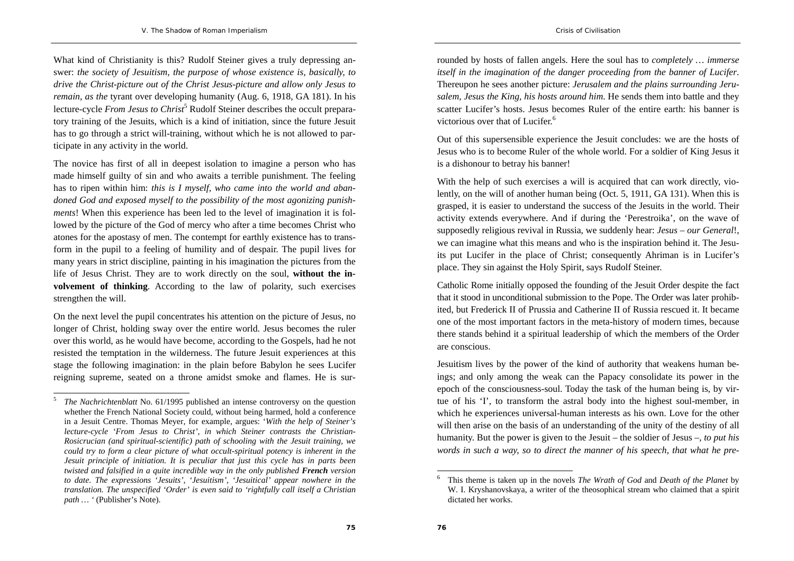What kind of Christianity is this? Rudolf Steiner gives a truly depressing answer: *the society of Jesuitism, the purpose of whose existence is, basically, to drive the Christ-picture out of the Christ Jesus-picture and allow only Jesus to remain, as the* tyrant over developing humanity (Aug. 6, 1918, GA 181). In his lecture-cycle *From Jesus to Christ*<sup>5</sup> Rudolf Steiner describes the occult preparatory training of the Jesuits, which is a kind of initiation, since the future Jesuit has to go through a strict will-training, without which he is not allowed to participate in any activity in the world.

The novice has first of all in deepest isolation to imagine a person who has made himself guilty of sin and who awaits a terrible punishment. The feeling has to ripen within him: *this is I myself, who came into the world and abandoned God and exposed myself to the possibility of the most agonizing punishments*! When this experience has been led to the level of imagination it is followed by the picture of the God of mercy who after a time becomes Christ who atones for the apostasy of men. The contempt for earthly existence has to transform in the pupil to a feeling of humility and of despair. The pupil lives for many years in strict discipline, painting in his imagination the pictures from the life of Jesus Christ. They are to work directly on the soul, **without the involvement of thinking**. According to the law of polarity, such exercises strengthen the will.

On the next level the pupil concentrates his attention on the picture of Jesus, no longer of Christ, holding sway over the entire world. Jesus becomes the ruler over this world, as he would have become, according to the Gospels, had he not resisted the temptation in the wilderness. The future Jesuit experiences at this stage the following imagination: in the plain before Babylon he sees Lucifer reigning supreme, seated on a throne amidst smoke and flames. He is sur-

5

rounded by hosts of fallen angels. Here the soul has to *completely … immerse itself in the imagination of the danger proceeding from the banner of Lucifer*. Thereupon he sees another picture: *Jerusalem and the plains surrounding Jerusalem, Jesus the King, his hosts around him*. He sends them into battle and they scatter Lucifer's hosts. Jesus becomes Ruler of the entire earth: his banner is victorious over that of Lucifer.<sup>6</sup>

Out of this supersensible experience the Jesuit concludes: we are the hosts of Jesus who is to become Ruler of the whole world. For a soldier of King Jesus it is a dishonour to betray his banner!

With the help of such exercises a will is acquired that can work directly, violently, on the will of another human being (Oct. 5, 1911, GA 131). When this is grasped, it is easier to understand the success of the Jesuits in the world. Their activity extends everywhere. And if during the 'Perestroika', on the wave of supposedly religious revival in Russia, we suddenly hear: *Jesus – our General*!, we can imagine what this means and who is the inspiration behind it. The Jesuits put Lucifer in the place of Christ; consequently Ahriman is in Lucifer's place. They sin against the Holy Spirit, says Rudolf Steiner.

Catholic Rome initially opposed the founding of the Jesuit Order despite the fact that it stood in unconditional submission to the Pope. The Order was later prohibited, but Frederick II of Prussia and Catherine II of Russia rescued it. It became one of the most important factors in the meta-history of modern times, because there stands behind it a spiritual leadership of which the members of the Order are conscious.

Jesuitism lives by the power of the kind of authority that weakens human beings; and only among the weak can the Papacy consolidate its power in the epoch of the consciousness-soul. Today the task of the human being is, by virtue of his 'I', to transform the astral body into the highest soul-member, in which he experiences universal-human interests as his own. Love for the other will then arise on the basis of an understanding of the unity of the destiny of all humanity. But the power is given to the Jesuit – the soldier of Jesus –, *to put his words in such a way, so to direct the manner of his speech, that what he pre-*

*The Nachrichtenblatt* No. 61/1995 published an intense controversy on the question whether the French National Society could, without being harmed, hold a conference in a Jesuit Centre. Thomas Meyer, for example, argues: '*With the help of Steiner's lecture-cycle 'From Jesus to Christ', in which Steiner contrasts the Christian-Rosicrucian (and spiritual-scientific) path of schooling with the Jesuit training, we could try to form a clear picture of what occult-spiritual potency is inherent in the Jesuit principle of initiation. It is peculiar that just this cycle has in parts been twisted and falsified in a quite incredible way in the only published French version to date. The expressions 'Jesuits', 'Jesuitism', 'Jesuitical' appear nowhere in the translation. The unspecified 'Order' is even said to 'rightfully call itself a Christian path … '* (Publisher's Note).

<sup>6</sup> This theme is taken up in the novels *The Wrath of God* and *Death of the Planet* by W. I. Kryshanovskaya, a writer of the theosophical stream who claimed that a spirit dictated her works.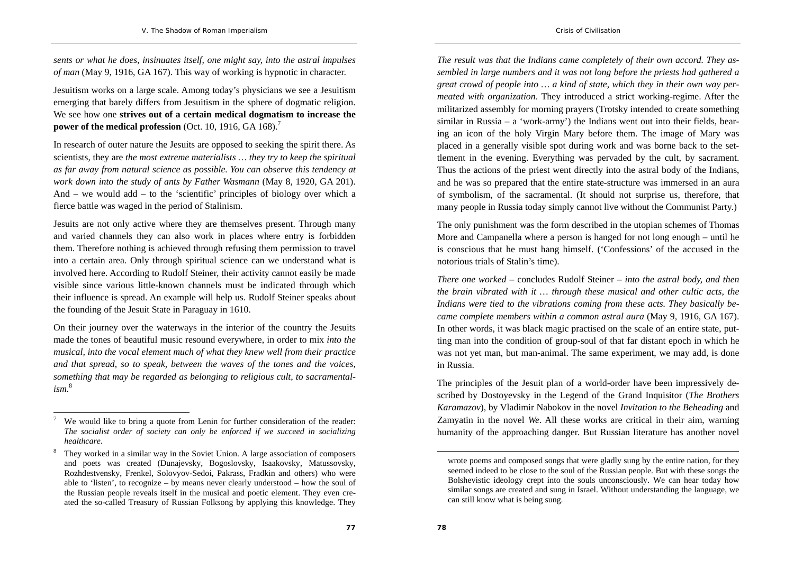*sents or what he does, insinuates itself, one might say, into the astral impulses of man* (May 9, 1916, GA 167). This way of working is hypnotic in character.

Jesuitism works on a large scale. Among today's physicians we see a Jesuitism emerging that barely differs from Jesuitism in the sphere of dogmatic religion. We see how one **strives out of a certain medical dogmatism to increase the power of the medical profession** (Oct. 10, 1916, GA 168).<sup>7</sup>

In research of outer nature the Jesuits are opposed to seeking the spirit there. As scientists, they are *the most extreme materialists … they try to keep the spiritual as far away from natural science as possible. You can observe this tendency at work down into the study of ants by Father Wasmann* (May 8, 1920, GA 201). And – we would add – to the 'scientific' principles of biology over which a fierce battle was waged in the period of Stalinism.

Jesuits are not only active where they are themselves present. Through many and varied channels they can also work in places where entry is forbidden them. Therefore nothing is achieved through refusing them permission to travel into a certain area. Only through spiritual science can we understand what is involved here. According to Rudolf Steiner, their activity cannot easily be made visible since various little-known channels must be indicated through which their influence is spread. An example will help us. Rudolf Steiner speaks about the founding of the Jesuit State in Paraguay in 1610.

On their journey over the waterways in the interior of the country the Jesuits made the tones of beautiful music resound everywhere, in order to mix *into the musical, into the vocal element much of what they knew well from their practice and that spread, so to speak, between the waves of the tones and the voices, something that may be regarded as belonging to religious cult, to sacramentalism.*<sup>8</sup>

*The result was that the Indians came completely of their own accord. They assembled in large numbers and it was not long before the priests had gathered a great crowd of people into … a kind of state, which they in their own way permeated with organization*. They introduced a strict working-regime. After the militarized assembly for morning prayers (Trotsky intended to create something similar in Russia – a 'work-army') the Indians went out into their fields, bearing an icon of the holy Virgin Mary before them. The image of Mary was placed in a generally visible spot during work and was borne back to the settlement in the evening. Everything was pervaded by the cult, by sacrament. Thus the actions of the priest went directly into the astral body of the Indians, and he was so prepared that the entire state-structure was immersed in an aura of symbolism, of the sacramental. (It should not surprise us, therefore, that many people in Russia today simply cannot live without the Communist Party.)

The only punishment was the form described in the utopian schemes of Thomas More and Campanella where a person is hanged for not long enough – until he is conscious that he must hang himself. ('Confessions' of the accused in the notorious trials of Stalin's time).

*There one worked* – concludes Rudolf Steiner – *into the astral body, and then the brain vibrated with it … through these musical and other cultic acts, the Indians were tied to the vibrations coming from these acts. They basically became complete members within a common astral aura* (May 9, 1916, GA 167). In other words, it was black magic practised on the scale of an entire state, putting man into the condition of group-soul of that far distant epoch in which he was not yet man, but man-animal. The same experiment, we may add, is done in Russia.

The principles of the Jesuit plan of a world-order have been impressively described by Dostoyevsky in the Legend of the Grand Inquisitor (*The Brothers Karamazov*), by Vladimir Nabokov in the novel *Invitation to the Beheading* and Zamyatin in the novel *We*. All these works are critical in their aim, warning humanity of the approaching danger. But Russian literature has another novel

We would like to bring a quote from Lenin for further consideration of the reader: *The socialist order of society can only be enforced if we succeed in socializing healthcare*.

<sup>8</sup> They worked in a similar way in the Soviet Union. A large association of composers and poets was created (Dunajevsky, Bogoslovsky, Isaakovsky, Matussovsky, Rozhdestvensky, Frenkel, Solovyov-Sedoi, Pakrass, Fradkin and others) who were able to 'listen', to recognize – by means never clearly understood – how the soul of the Russian people reveals itself in the musical and poetic element. They even created the so-called Treasury of Russian Folksong by applying this knowledge. They

wrote poems and composed songs that were gladly sung by the entire nation, for they seemed indeed to be close to the soul of the Russian people. But with these songs the Bolshevistic ideology crept into the souls unconsciously. We can hear today how similar songs are created and sung in Israel. Without understanding the language, we can still know what is being sung.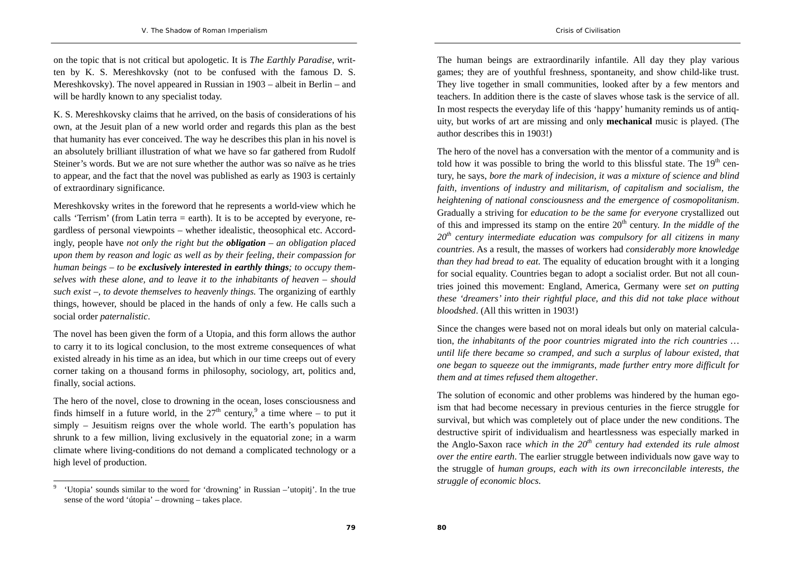on the topic that is not critical but apologetic. It is *The Earthly Paradise*, written by K. S. Mereshkovsky (not to be confused with the famous D. S. Mereshkovsky). The novel appeared in Russian in 1903 – albeit in Berlin – and will be hardly known to any specialist today.

K. S. Mereshkovsky claims that he arrived, on the basis of considerations of his own, at the Jesuit plan of a new world order and regards this plan as the best that humanity has ever conceived. The way he describes this plan in his novel is an absolutely brilliant illustration of what we have so far gathered from Rudolf Steiner's words. But we are not sure whether the author was so naïve as he tries to appear, and the fact that the novel was published as early as 1903 is certainly of extraordinary significance.

Mereshkovsky writes in the foreword that he represents a world-view which he calls 'Terrism' (from Latin terra = earth). It is to be accepted by everyone, regardless of personal viewpoints – whether idealistic, theosophical etc. Accordingly, people have *not only the right but the obligation – an obligation placed upon them by reason and logic as well as by their feeling, their compassion for human beings – to be exclusively interested in earthly things; to occupy themselves with these alone, and to leave it to the inhabitants of heaven – should such exist –, to devote themselves to heavenly things.* The organizing of earthly things, however, should be placed in the hands of only a few. He calls such a social order *paternalistic*.

The novel has been given the form of a Utopia, and this form allows the author to carry it to its logical conclusion, to the most extreme consequences of what existed already in his time as an idea, but which in our time creeps out of every corner taking on a thousand forms in philosophy, sociology, art, politics and, finally, social actions.

The hero of the novel, close to drowning in the ocean, loses consciousness and finds himself in a future world, in the  $27<sup>th</sup>$  century,<sup>9</sup> a time where – to put it simply – Jesuitism reigns over the whole world. The earth's population has shrunk to a few million, living exclusively in the equatorial zone; in a warm climate where living-conditions do not demand a complicated technology or a high level of production.

The human beings are extraordinarily infantile. All day they play various games; they are of youthful freshness, spontaneity, and show child-like trust. They live together in small communities, looked after by a few mentors and teachers. In addition there is the caste of slaves whose task is the service of all. In most respects the everyday life of this 'happy' humanity reminds us of antiquity, but works of art are missing and only **mechanical** music is played. (The author describes this in 1903!)

The hero of the novel has a conversation with the mentor of a community and is told how it was possible to bring the world to this blissful state. The  $19<sup>th</sup>$  century, he says, *bore the mark of indecision, it was a mixture of science and blind faith, inventions of industry and militarism, of capitalism and socialism, the heightening of national consciousness and the emergence of cosmopolitanism*. Gradually a striving for *education to be the same for everyone* crystallized out of this and impressed its stamp on the entire  $20<sup>th</sup>$  century. *In the middle of the <sup>20</sup>th century intermediate education was compulsory for all citizens in many countries*. As a result, the masses of workers had *considerably more knowledge than they had bread to eat*. The equality of education brought with it a longing for social equality. Countries began to adopt a socialist order. But not all countries joined this movement: England, America, Germany were *set on putting these 'dreamers' into their rightful place, and this did not take place without bloodshed*. (All this written in 1903!)

Since the changes were based not on moral ideals but only on material calculation, *the inhabitants of the poor countries migrated into the rich countries … until life there became so cramped, and such a surplus of labour existed, that one began to squeeze out the immigrants, made further entry more difficult for them and at times refused them altogether*.

The solution of economic and other problems was hindered by the human egoism that had become necessary in previous centuries in the fierce struggle for survival, but which was completely out of place under the new conditions. The destructive spirit of individualism and heartlessness was especially marked in the Anglo-Saxon race *which in the 20th century had extended its rule almost over the entire earth*. The earlier struggle between individuals now gave way to the struggle of *human groups, each with its own irreconcilable interests, the struggle of economic blocs*.

<sup>9 &#</sup>x27;Utopia' sounds similar to the word for 'drowning' in Russian –'utopitj'. In the true sense of the word 'útopia' – drowning – takes place.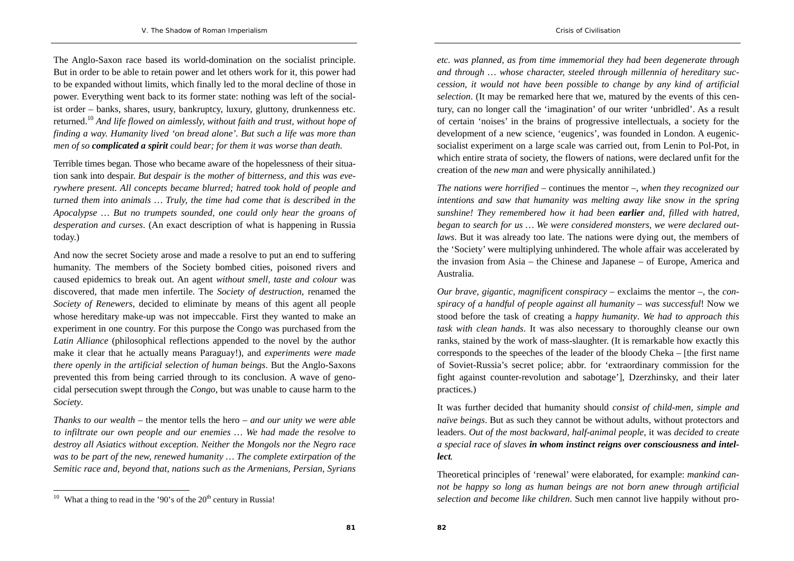The Anglo-Saxon race based its world-domination on the socialist principle. But in order to be able to retain power and let others work for it, this power had to be expanded without limits, which finally led to the moral decline of those in power. Everything went back to its former state: nothing was left of the socialist order – banks, shares, usury, bankruptcy, luxury, gluttony, drunkenness etc. returned.<sup>10</sup> *And life flowed on aimlessly, without faith and trust, without hope of finding a way. Humanity lived 'on bread alone'. But such a life was more than men of so complicated a spirit could bear; for them it was worse than death*.

Terrible times began. Those who became aware of the hopelessness of their situation sank into despair. *But despair is the mother of bitterness, and this was everywhere present. All concepts became blurred; hatred took hold of people and turned them into animals … Truly, the time had come that is described in the Apocalypse … But no trumpets sounded, one could only hear the groans of desperation and curses*. (An exact description of what is happening in Russia today.)

And now the secret Society arose and made a resolve to put an end to suffering humanity. The members of the Society bombed cities, poisoned rivers and caused epidemics to break out. An agent *without smell, taste and colour* was discovered, that made men infertile. The *Society of destruction*, renamed the *Society of Renewers*, decided to eliminate by means of this agent all people whose hereditary make-up was not impeccable. First they wanted to make an experiment in one country. For this purpose the Congo was purchased from the *Latin Alliance* (philosophical reflections appended to the novel by the author make it clear that he actually means Paraguay!), and *experiments were made there openly in the artificial selection of human beings*. But the Anglo-Saxons prevented this from being carried through to its conclusion. A wave of genocidal persecution swept through the *Congo*, but was unable to cause harm to the *Society*.

*Thanks to our wealth* – the mentor tells the hero – *and our unity we were able to infiltrate our own people and our enemies … We had made the resolve to destroy all Asiatics without exception. Neither the Mongols nor the Negro race was to be part of the new, renewed humanity … The complete extirpation of the Semitic race and, beyond that, nations such as the Armenians, Persian, Syrians* 

*etc. was planned, as from time immemorial they had been degenerate through and through … whose character, steeled through millennia of hereditary succession, it would not have been possible to change by any kind of artificial selection*. (It may be remarked here that we, matured by the events of this century, can no longer call the 'imagination' of our writer 'unbridled'. As a result of certain 'noises' in the brains of progressive intellectuals, a society for the development of a new science, 'eugenics', was founded in London. A eugenicsocialist experiment on a large scale was carried out, from Lenin to Pol-Pot, in which entire strata of society, the flowers of nations, were declared unfit for the creation of the *new man* and were physically annihilated.)

*The nations were horrified* – continues the mentor –, *when they recognized our intentions and saw that humanity was melting away like snow in the spring sunshine! They remembered how it had been earlier and, filled with hatred, began to search for us … We were considered monsters, we were declared outlaws*. But it was already too late. The nations were dying out, the members of the 'Society' were multiplying unhindered. The whole affair was accelerated by the invasion from Asia – the Chinese and Japanese – of Europe, America and Australia.

*Our brave, gigantic, magnificent conspiracy* – exclaims the mentor –, the *conspiracy of a handful of people against all humanity – was successful*! Now we stood before the task of creating a *happy humanity*. *We had to approach this task with clean hands*. It was also necessary to thoroughly cleanse our own ranks, stained by the work of mass-slaughter. (It is remarkable how exactly this corresponds to the speeches of the leader of the bloody Cheka – [the first name of Soviet-Russia's secret police; abbr. for 'extraordinary commission for the fight against counter-revolution and sabotage'], Dzerzhinsky, and their later practices.)

It was further decided that humanity should *consist of child-men, simple and naïve beings*. But as such they cannot be without adults, without protectors and leaders. *Out of the most backward, half-animal people,* it was *decided to create a special race of slaves in whom instinct reigns over consciousness and intellect.*

Theoretical principles of 'renewal' were elaborated, for example: *mankind cannot be happy so long as human beings are not born anew through artificial selection and become like children*. Such men cannot live happily without pro-

 $10$  What a thing to read in the '90's of the 20<sup>th</sup> century in Russia!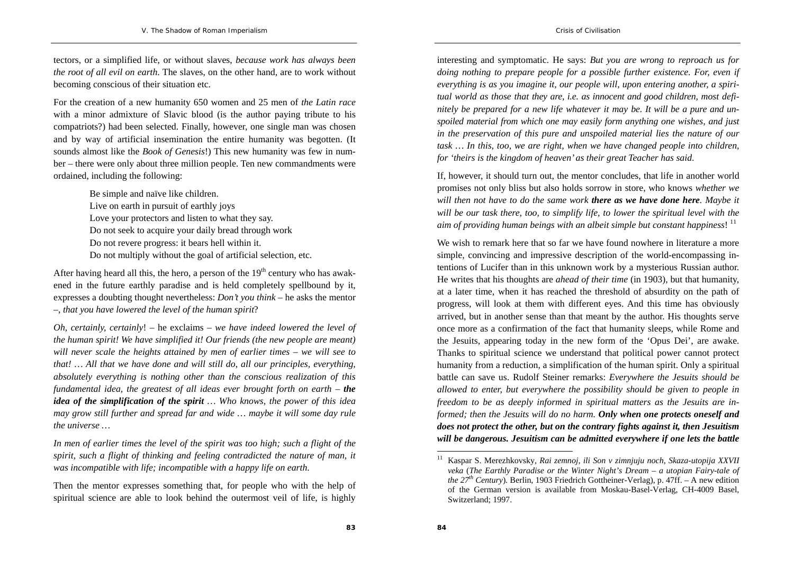tectors, or a simplified life, or without slaves, *because work has always been the root of all evil on earth*. The slaves, on the other hand, are to work without becoming conscious of their situation etc.

For the creation of a new humanity 650 women and 25 men of *the Latin race* with a minor admixture of Slavic blood (is the author paying tribute to his compatriots?) had been selected. Finally, however, one single man was chosen and by way of artificial insemination the entire humanity was begotten. (It sounds almost like the *Book of Genesis*!) This new humanity was few in number – there were only about three million people. Ten new commandments were ordained, including the following:

> Be simple and naïve like children. Live on earth in pursuit of earthly joys Love your protectors and listen to what they say. Do not seek to acquire your daily bread through work Do not revere progress: it bears hell within it. Do not multiply without the goal of artificial selection, etc.

After having heard all this, the hero, a person of the  $19<sup>th</sup>$  century who has awakened in the future earthly paradise and is held completely spellbound by it, expresses a doubting thought nevertheless: *Don't you think* – he asks the mentor –, *that you have lowered the level of the human spirit*?

*Oh, certainly, certainly*! – he exclaims – *we have indeed lowered the level of the human spirit! We have simplified it! Our friends (the new people are meant) will never scale the heights attained by men of earlier times – we will see to that! … All that we have done and will still do, all our principles, everything, absolutely everything is nothing other than the conscious realization of this fundamental idea, the greatest of all ideas ever brought forth on earth – the idea of the simplification of the spirit … Who knows, the power of this idea may grow still further and spread far and wide … maybe it will some day rule the universe …* 

*In men of earlier times the level of the spirit was too high; such a flight of the spirit, such a flight of thinking and feeling contradicted the nature of man, it was incompatible with life; incompatible with a happy life on earth*.

Then the mentor expresses something that, for people who with the help of spiritual science are able to look behind the outermost veil of life, is highly

interesting and symptomatic. He says: *But you are wrong to reproach us for doing nothing to prepare people for a possible further existence. For, even if everything is as you imagine it, our people will, upon entering another, a spiritual world as those that they are, i.e. as innocent and good children, most definitely be prepared for a new life whatever it may be. It will be a pure and unspoiled material from which one may easily form anything one wishes, and just in the preservation of this pure and unspoiled material lies the nature of our task … In this, too, we are right, when we have changed people into children, for 'theirs is the kingdom of heaven' as their great Teacher has said*.

If, however, it should turn out, the mentor concludes, that life in another world promises not only bliss but also holds sorrow in store, who knows *whether we will then not have to do the same work there as we have done here. Maybe it will be our task there, too, to simplify life, to lower the spiritual level with the aim of providing human beings with an albeit simple but constant happiness!* <sup>11</sup>

We wish to remark here that so far we have found nowhere in literature a more simple, convincing and impressive description of the world-encompassing intentions of Lucifer than in this unknown work by a mysterious Russian author. He writes that his thoughts are *ahead of their time* (in 1903), but that humanity, at a later time, when it has reached the threshold of absurdity on the path of progress, will look at them with different eyes. And this time has obviously arrived, but in another sense than that meant by the author. His thoughts serve once more as a confirmation of the fact that humanity sleeps, while Rome and the Jesuits, appearing today in the new form of the 'Opus Dei', are awake. Thanks to spiritual science we understand that political power cannot protect humanity from a reduction, a simplification of the human spirit. Only a spiritual battle can save us. Rudolf Steiner remarks: *Everywhere the Jesuits should be allowed to enter, but everywhere the possibility should be given to people in freedom to be as deeply informed in spiritual matters as the Jesuits are informed; then the Jesuits will do no harm. Only when one protects oneself and does not protect the other, but on the contrary fights against it, then Jesuitism will be dangerous. Jesuitism can be admitted everywhere if one lets the battle* 

<sup>11</sup> Kaspar S. Merezhkovsky, *Rai zemnoj, ili Son v zimnjuju noch, Skaza-utopija XXVII veka* (*The Earthly Paradise or the Winter Night's Dream – a utopian Fairy-tale of the*  $27<sup>th</sup>$  *Century*). Berlin, 1903 Friedrich Gottheiner-Verlag), p. 47ff. – A new edition of the German version is available from Moskau-Basel-Verlag, CH-4009 Basel, Switzerland; 1997.